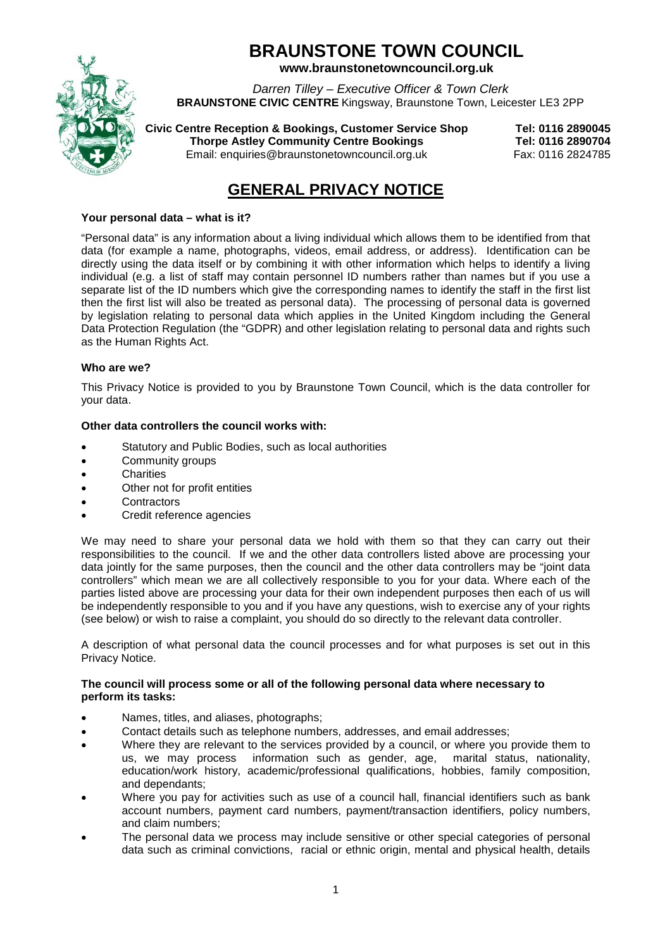# **BRAUNSTONE TOWN COUNCIL www.braunstonetowncouncil.org.uk**

*Darren Tilley – Executive Officer & Town Clerk*

**BRAUNSTONE CIVIC CENTRE** Kingsway, Braunstone Town, Leicester LE3 2PP

**Civic Centre Reception & Bookings, Customer Service Shop Tel: 0116 2890045 Thorpe Astley Community Centre Bookings** 

Email: enquiries@braunstonetowncouncil.org.uk Fax: 0116 2824785

# **GENERAL PRIVACY NOTICE**

# **Your personal data – what is it?**

"Personal data" is any information about a living individual which allows them to be identified from that data (for example a name, photographs, videos, email address, or address). Identification can be directly using the data itself or by combining it with other information which helps to identify a living individual (e.g. a list of staff may contain personnel ID numbers rather than names but if you use a separate list of the ID numbers which give the corresponding names to identify the staff in the first list then the first list will also be treated as personal data). The processing of personal data is governed by legislation relating to personal data which applies in the United Kingdom including the General Data Protection Regulation (the "GDPR) and other legislation relating to personal data and rights such as the Human Rights Act.

# **Who are we?**

This Privacy Notice is provided to you by Braunstone Town Council, which is the data controller for your data.

# **Other data controllers the council works with:**

- Statutory and Public Bodies, such as local authorities
- Community groups
- **Charities**
- Other not for profit entities
- **Contractors**
- Credit reference agencies

We may need to share your personal data we hold with them so that they can carry out their responsibilities to the council. If we and the other data controllers listed above are processing your data jointly for the same purposes, then the council and the other data controllers may be "joint data controllers" which mean we are all collectively responsible to you for your data. Where each of the parties listed above are processing your data for their own independent purposes then each of us will be independently responsible to you and if you have any questions, wish to exercise any of your rights (see below) or wish to raise a complaint, you should do so directly to the relevant data controller.

A description of what personal data the council processes and for what purposes is set out in this Privacy Notice.

#### **The council will process some or all of the following personal data where necessary to perform its tasks:**

- Names, titles, and aliases, photographs;
- Contact details such as telephone numbers, addresses, and email addresses;
- Where they are relevant to the services provided by a council, or where you provide them to us, we may process information such as gender, age, marital status, nationality, education/work history, academic/professional qualifications, hobbies, family composition, and dependants;
- Where you pay for activities such as use of a council hall, financial identifiers such as bank account numbers, payment card numbers, payment/transaction identifiers, policy numbers, and claim numbers;
- The personal data we process may include sensitive or other special categories of personal data such as criminal convictions, racial or ethnic origin, mental and physical health, details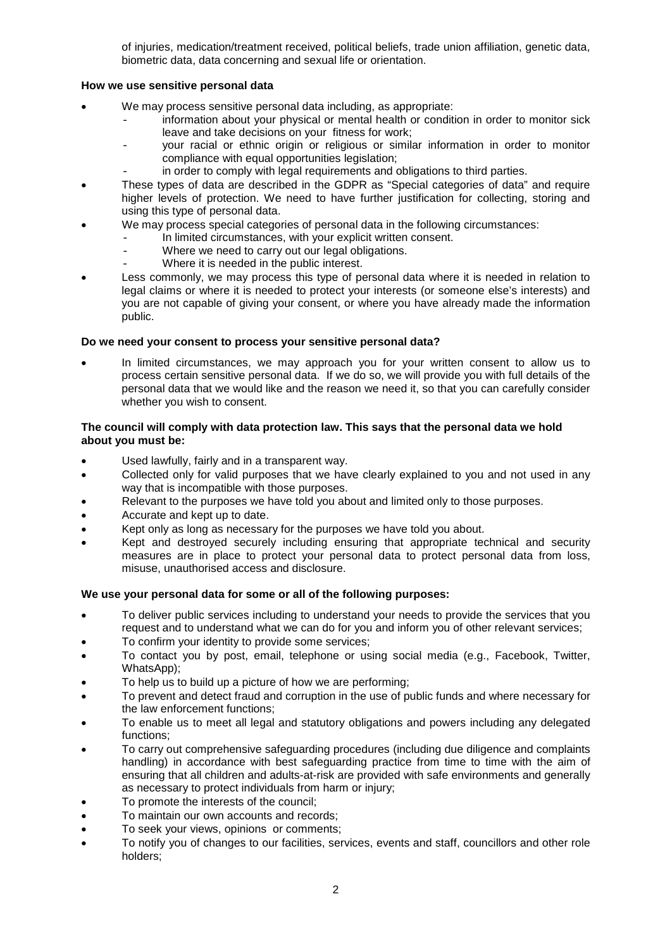of injuries, medication/treatment received, political beliefs, trade union affiliation, genetic data, biometric data, data concerning and sexual life or orientation.

#### **How we use sensitive personal data**

- We may process sensitive personal data including, as appropriate:
	- information about your physical or mental health or condition in order to monitor sick leave and take decisions on your fitness for work;
	- your racial or ethnic origin or religious or similar information in order to monitor compliance with equal opportunities legislation:
	- in order to comply with legal requirements and obligations to third parties.
- These types of data are described in the GDPR as "Special categories of data" and require higher levels of protection. We need to have further justification for collecting, storing and using this type of personal data.
- We may process special categories of personal data in the following circumstances:
	- In limited circumstances, with your explicit written consent.
	- Where we need to carry out our legal obligations.
	- Where it is needed in the public interest.
- Less commonly, we may process this type of personal data where it is needed in relation to legal claims or where it is needed to protect your interests (or someone else's interests) and you are not capable of giving your consent, or where you have already made the information public.

#### **Do we need your consent to process your sensitive personal data?**

In limited circumstances, we may approach you for your written consent to allow us to process certain sensitive personal data. If we do so, we will provide you with full details of the personal data that we would like and the reason we need it, so that you can carefully consider whether you wish to consent.

### **The council will comply with data protection law. This says that the personal data we hold about you must be:**

- Used lawfully, fairly and in a transparent way.
- Collected only for valid purposes that we have clearly explained to you and not used in any way that is incompatible with those purposes.
- Relevant to the purposes we have told you about and limited only to those purposes.
- Accurate and kept up to date.
- Kept only as long as necessary for the purposes we have told you about.
- Kept and destroyed securely including ensuring that appropriate technical and security measures are in place to protect your personal data to protect personal data from loss, misuse, unauthorised access and disclosure.

#### **We use your personal data for some or all of the following purposes:**

- To deliver public services including to understand your needs to provide the services that you request and to understand what we can do for you and inform you of other relevant services;
- To confirm your identity to provide some services;
- To contact you by post, email, telephone or using social media (e.g., Facebook, Twitter, WhatsApp);
- To help us to build up a picture of how we are performing;
- To prevent and detect fraud and corruption in the use of public funds and where necessary for the law enforcement functions;
- To enable us to meet all legal and statutory obligations and powers including any delegated functions;
- To carry out comprehensive safeguarding procedures (including due diligence and complaints handling) in accordance with best safeguarding practice from time to time with the aim of ensuring that all children and adults-at-risk are provided with safe environments and generally as necessary to protect individuals from harm or injury;
- To promote the interests of the council;
- To maintain our own accounts and records;
- To seek your views, opinions or comments;
- To notify you of changes to our facilities, services, events and staff, councillors and other role holders;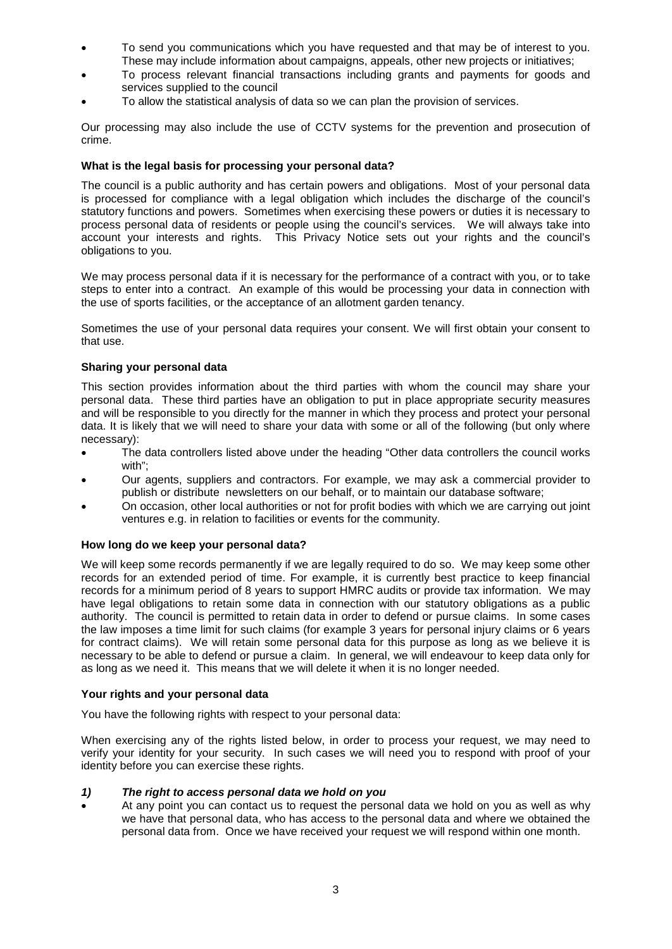- To send you communications which you have requested and that may be of interest to you. These may include information about campaigns, appeals, other new projects or initiatives;
- To process relevant financial transactions including grants and payments for goods and services supplied to the council
- To allow the statistical analysis of data so we can plan the provision of services.

Our processing may also include the use of CCTV systems for the prevention and prosecution of crime.

#### **What is the legal basis for processing your personal data?**

The council is a public authority and has certain powers and obligations. Most of your personal data is processed for compliance with a legal obligation which includes the discharge of the council's statutory functions and powers. Sometimes when exercising these powers or duties it is necessary to process personal data of residents or people using the council's services. We will always take into account your interests and rights. This Privacy Notice sets out your rights and the council's obligations to you.

We may process personal data if it is necessary for the performance of a contract with you, or to take steps to enter into a contract. An example of this would be processing your data in connection with the use of sports facilities, or the acceptance of an allotment garden tenancy.

Sometimes the use of your personal data requires your consent. We will first obtain your consent to that use.

#### **Sharing your personal data**

This section provides information about the third parties with whom the council may share your personal data. These third parties have an obligation to put in place appropriate security measures and will be responsible to you directly for the manner in which they process and protect your personal data. It is likely that we will need to share your data with some or all of the following (but only where necessary):

- The data controllers listed above under the heading "Other data controllers the council works with";
- Our agents, suppliers and contractors. For example, we may ask a commercial provider to publish or distribute newsletters on our behalf, or to maintain our database software;
- On occasion, other local authorities or not for profit bodies with which we are carrying out joint ventures e.g. in relation to facilities or events for the community.

#### **How long do we keep your personal data?**

We will keep some records permanently if we are legally required to do so. We may keep some other records for an extended period of time. For example, it is currently best practice to keep financial records for a minimum period of 8 years to support HMRC audits or provide tax information. We may have legal obligations to retain some data in connection with our statutory obligations as a public authority. The council is permitted to retain data in order to defend or pursue claims. In some cases the law imposes a time limit for such claims (for example 3 years for personal injury claims or 6 years for contract claims). We will retain some personal data for this purpose as long as we believe it is necessary to be able to defend or pursue a claim. In general, we will endeavour to keep data only for as long as we need it. This means that we will delete it when it is no longer needed.

#### **Your rights and your personal data**

You have the following rights with respect to your personal data:

When exercising any of the rights listed below, in order to process your request, we may need to verify your identity for your security. In such cases we will need you to respond with proof of your identity before you can exercise these rights.

#### *1) The right to access personal data we hold on you*

• At any point you can contact us to request the personal data we hold on you as well as why we have that personal data, who has access to the personal data and where we obtained the personal data from. Once we have received your request we will respond within one month.